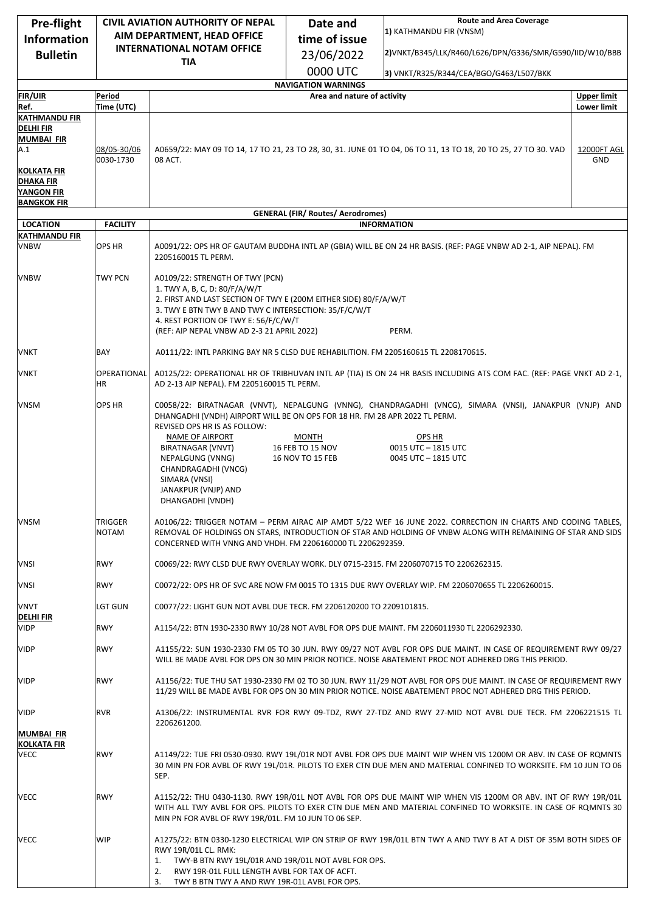| Pre-flight                             | <b>CIVIL AVIATION AUTHORITY OF NEPAL</b><br>AIM DEPARTMENT, HEAD OFFICE<br><b>INTERNATIONAL NOTAM OFFICE</b>     |                                                                                                                                           | Date and                                 | <b>Route and Area Coverage</b>                                                                                                                                                                                                 |                                   |
|----------------------------------------|------------------------------------------------------------------------------------------------------------------|-------------------------------------------------------------------------------------------------------------------------------------------|------------------------------------------|--------------------------------------------------------------------------------------------------------------------------------------------------------------------------------------------------------------------------------|-----------------------------------|
| <b>Information</b>                     |                                                                                                                  |                                                                                                                                           | time of issue                            | 1) KATHMANDU FIR (VNSM)                                                                                                                                                                                                        |                                   |
| <b>Bulletin</b>                        |                                                                                                                  |                                                                                                                                           | 23/06/2022                               | 2)VNKT/B345/LLK/R460/L626/DPN/G336/SMR/G590/IID/W10/BBB                                                                                                                                                                        |                                   |
|                                        |                                                                                                                  | <b>TIA</b>                                                                                                                                | 0000 UTC                                 | 3) VNKT/R325/R344/CEA/BGO/G463/L507/BKK                                                                                                                                                                                        |                                   |
|                                        |                                                                                                                  |                                                                                                                                           | <b>NAVIGATION WARNINGS</b>               |                                                                                                                                                                                                                                |                                   |
| <b>FIR/UIR</b><br>Ref.                 | Period<br>Time (UTC)                                                                                             |                                                                                                                                           | Area and nature of activity              |                                                                                                                                                                                                                                | <b>Upper limit</b><br>Lower limit |
| <b>KATHMANDU FIR</b>                   |                                                                                                                  |                                                                                                                                           |                                          |                                                                                                                                                                                                                                |                                   |
| <b>DELHI FIR</b>                       |                                                                                                                  |                                                                                                                                           |                                          |                                                                                                                                                                                                                                |                                   |
| <b>MUMBAI FIR</b><br>A.1               | 08/05-30/06                                                                                                      | A0659/22: MAY 09 TO 14, 17 TO 21, 23 TO 28, 30, 31. JUNE 01 TO 04, 06 TO 11, 13 TO 18, 20 TO 25, 27 TO 30. VAD<br>12000FT AGL             |                                          |                                                                                                                                                                                                                                |                                   |
|                                        | 0030-1730                                                                                                        | 08 ACT.                                                                                                                                   |                                          |                                                                                                                                                                                                                                | <b>GND</b>                        |
| <b>KOLKATA FIR</b><br><b>DHAKA FIR</b> |                                                                                                                  |                                                                                                                                           |                                          |                                                                                                                                                                                                                                |                                   |
| <b>YANGON FIR</b>                      |                                                                                                                  |                                                                                                                                           |                                          |                                                                                                                                                                                                                                |                                   |
| <b>BANGKOK FIR</b>                     |                                                                                                                  |                                                                                                                                           | <b>GENERAL (FIR/ Routes/ Aerodromes)</b> |                                                                                                                                                                                                                                |                                   |
| <b>LOCATION</b>                        | <b>FACILITY</b>                                                                                                  | <b>INFORMATION</b>                                                                                                                        |                                          |                                                                                                                                                                                                                                |                                   |
| <b>KATHMANDU FIR</b><br><b>VNBW</b>    | <b>OPS HR</b>                                                                                                    |                                                                                                                                           |                                          |                                                                                                                                                                                                                                |                                   |
|                                        |                                                                                                                  | A0091/22: OPS HR OF GAUTAM BUDDHA INTL AP (GBIA) WILL BE ON 24 HR BASIS. (REF: PAGE VNBW AD 2-1, AIP NEPAL). FM<br>2205160015 TL PERM.    |                                          |                                                                                                                                                                                                                                |                                   |
|                                        |                                                                                                                  |                                                                                                                                           |                                          |                                                                                                                                                                                                                                |                                   |
| <b>VNBW</b>                            | <b>TWY PCN</b>                                                                                                   | A0109/22: STRENGTH OF TWY (PCN)<br>1. TWY A, B, C, D: 80/F/A/W/T                                                                          |                                          |                                                                                                                                                                                                                                |                                   |
|                                        |                                                                                                                  | 2. FIRST AND LAST SECTION OF TWY E (200M EITHER SIDE) 80/F/A/W/T                                                                          |                                          |                                                                                                                                                                                                                                |                                   |
|                                        |                                                                                                                  | 3. TWY E BTN TWY B AND TWY C INTERSECTION: 35/F/C/W/T<br>4. REST PORTION OF TWY E: 56/F/C/W/T                                             |                                          |                                                                                                                                                                                                                                |                                   |
|                                        |                                                                                                                  | (REF: AIP NEPAL VNBW AD 2-3 21 APRIL 2022)                                                                                                |                                          | PERM.                                                                                                                                                                                                                          |                                   |
| VNKT                                   | BAY                                                                                                              | A0111/22: INTL PARKING BAY NR 5 CLSD DUE REHABILITION. FM 2205160615 TL 2208170615.                                                       |                                          |                                                                                                                                                                                                                                |                                   |
|                                        |                                                                                                                  | A0125/22: OPERATIONAL HR OF TRIBHUVAN INTL AP (TIA) IS ON 24 HR BASIS INCLUDING ATS COM FAC. (REF: PAGE VNKT AD 2-1,                      |                                          |                                                                                                                                                                                                                                |                                   |
| VNKT                                   | OPERATIONAL<br>ΗR                                                                                                | AD 2-13 AIP NEPAL). FM 2205160015 TL PERM.                                                                                                |                                          |                                                                                                                                                                                                                                |                                   |
| <b>VNSM</b>                            | OPS HR<br>C0058/22: BIRATNAGAR (VNVT), NEPALGUNG (VNNG), CHANDRAGADHI (VNCG), SIMARA (VNSI), JANAKPUR (VNJP) AND |                                                                                                                                           |                                          |                                                                                                                                                                                                                                |                                   |
|                                        |                                                                                                                  | DHANGADHI (VNDH) AIRPORT WILL BE ON OPS FOR 18 HR. FM 28 APR 2022 TL PERM.<br>REVISED OPS HR IS AS FOLLOW:                                |                                          |                                                                                                                                                                                                                                |                                   |
|                                        |                                                                                                                  | NAME OF AIRPORT                                                                                                                           | <b>MONTH</b>                             | OPS HR                                                                                                                                                                                                                         |                                   |
|                                        |                                                                                                                  | BIRATNAGAR (VNVT)<br>NEPALGUNG (VNNG)                                                                                                     | 16 FEB TO 15 NOV<br>16 NOV TO 15 FEB     | 0015 UTC - 1815 UTC<br>0045 UTC - 1815 UTC                                                                                                                                                                                     |                                   |
|                                        |                                                                                                                  | CHANDRAGADHI (VNCG)                                                                                                                       |                                          |                                                                                                                                                                                                                                |                                   |
|                                        |                                                                                                                  | SIMARA (VNSI)<br>JANAKPUR (VNJP) AND                                                                                                      |                                          |                                                                                                                                                                                                                                |                                   |
|                                        |                                                                                                                  | DHANGADHI (VNDH)                                                                                                                          |                                          |                                                                                                                                                                                                                                |                                   |
| <b>VNSM</b>                            | TRIGGER                                                                                                          |                                                                                                                                           |                                          | A0106/22: TRIGGER NOTAM - PERM AIRAC AIP AMDT 5/22 WEF 16 JUNE 2022. CORRECTION IN CHARTS AND CODING TABLES,                                                                                                                   |                                   |
|                                        | NOTAM                                                                                                            |                                                                                                                                           |                                          | REMOVAL OF HOLDINGS ON STARS, INTRODUCTION OF STAR AND HOLDING OF VNBW ALONG WITH REMAINING OF STAR AND SIDS                                                                                                                   |                                   |
|                                        |                                                                                                                  | CONCERNED WITH VNNG AND VHDH. FM 2206160000 TL 2206292359.                                                                                |                                          |                                                                                                                                                                                                                                |                                   |
| <b>VNSI</b>                            | <b>RWY</b>                                                                                                       | C0069/22: RWY CLSD DUE RWY OVERLAY WORK. DLY 0715-2315. FM 2206070715 TO 2206262315.                                                      |                                          |                                                                                                                                                                                                                                |                                   |
| VNSI                                   | <b>RWY</b>                                                                                                       | C0072/22: OPS HR OF SVC ARE NOW FM 0015 TO 1315 DUE RWY OVERLAY WIP. FM 2206070655 TL 2206260015.                                         |                                          |                                                                                                                                                                                                                                |                                   |
| <b>VNVT</b>                            | LGT GUN                                                                                                          | C0077/22: LIGHT GUN NOT AVBL DUE TECR. FM 2206120200 TO 2209101815.                                                                       |                                          |                                                                                                                                                                                                                                |                                   |
| <b>DELHI FIR</b><br><b>VIDP</b>        | <b>RWY</b>                                                                                                       |                                                                                                                                           |                                          | A1154/22: BTN 1930-2330 RWY 10/28 NOT AVBL FOR OPS DUE MAINT. FM 2206011930 TL 2206292330.                                                                                                                                     |                                   |
| <b>VIDP</b>                            | <b>RWY</b>                                                                                                       |                                                                                                                                           |                                          | A1155/22: SUN 1930-2330 FM 05 TO 30 JUN. RWY 09/27 NOT AVBL FOR OPS DUE MAINT. IN CASE OF REQUIREMENT RWY 09/27                                                                                                                |                                   |
|                                        |                                                                                                                  |                                                                                                                                           |                                          | WILL BE MADE AVBL FOR OPS ON 30 MIN PRIOR NOTICE. NOISE ABATEMENT PROC NOT ADHERED DRG THIS PERIOD.                                                                                                                            |                                   |
| <b>VIDP</b>                            | <b>RWY</b>                                                                                                       |                                                                                                                                           |                                          | A1156/22: TUE THU SAT 1930-2330 FM 02 TO 30 JUN. RWY 11/29 NOT AVBL FOR OPS DUE MAINT. IN CASE OF REQUIREMENT RWY                                                                                                              |                                   |
|                                        |                                                                                                                  |                                                                                                                                           |                                          | 11/29 WILL BE MADE AVBL FOR OPS ON 30 MIN PRIOR NOTICE. NOISE ABATEMENT PROC NOT ADHERED DRG THIS PERIOD.                                                                                                                      |                                   |
| <b>VIDP</b>                            | <b>RVR</b>                                                                                                       |                                                                                                                                           |                                          | A1306/22: INSTRUMENTAL RVR FOR RWY 09-TDZ, RWY 27-TDZ AND RWY 27-MID NOT AVBL DUE TECR. FM 2206221515 TL                                                                                                                       |                                   |
|                                        |                                                                                                                  | 2206261200.                                                                                                                               |                                          |                                                                                                                                                                                                                                |                                   |
| MUMBAI FIR<br><b>KOLKATA FIR</b>       |                                                                                                                  |                                                                                                                                           |                                          |                                                                                                                                                                                                                                |                                   |
| <b>VECC</b>                            | <b>RWY</b>                                                                                                       |                                                                                                                                           |                                          | A1149/22: TUE FRI 0530-0930. RWY 19L/01R NOT AVBL FOR OPS DUE MAINT WIP WHEN VIS 1200M OR ABV. IN CASE OF ROMNTS                                                                                                               |                                   |
|                                        |                                                                                                                  | SEP.                                                                                                                                      |                                          | 30 MIN PN FOR AVBL OF RWY 19L/01R. PILOTS TO EXER CTN DUE MEN AND MATERIAL CONFINED TO WORKSITE. FM 10 JUN TO 06                                                                                                               |                                   |
|                                        |                                                                                                                  |                                                                                                                                           |                                          |                                                                                                                                                                                                                                |                                   |
| <b>VECC</b>                            | <b>RWY</b>                                                                                                       |                                                                                                                                           |                                          | A1152/22: THU 0430-1130. RWY 19R/01L NOT AVBL FOR OPS DUE MAINT WIP WHEN VIS 1200M OR ABV. INT OF RWY 19R/01L<br>WITH ALL TWY AVBL FOR OPS. PILOTS TO EXER CTN DUE MEN AND MATERIAL CONFINED TO WORKSITE. IN CASE OF ROMNTS 30 |                                   |
|                                        |                                                                                                                  | MIN PN FOR AVBL OF RWY 19R/01L. FM 10 JUN TO 06 SEP.                                                                                      |                                          |                                                                                                                                                                                                                                |                                   |
| VECC                                   | WIP                                                                                                              |                                                                                                                                           |                                          |                                                                                                                                                                                                                                |                                   |
|                                        |                                                                                                                  | A1275/22: BTN 0330-1230 ELECTRICAL WIP ON STRIP OF RWY 19R/01L BTN TWY A AND TWY B AT A DIST OF 35M BOTH SIDES OF<br>RWY 19R/01L CL. RMK: |                                          |                                                                                                                                                                                                                                |                                   |
|                                        |                                                                                                                  | TWY-B BTN RWY 19L/01R AND 19R/01L NOT AVBL FOR OPS.<br>1.                                                                                 |                                          |                                                                                                                                                                                                                                |                                   |
|                                        |                                                                                                                  | RWY 19R-01L FULL LENGTH AVBL FOR TAX OF ACFT.<br>2.<br>TWY B BTN TWY A AND RWY 19R-01L AVBL FOR OPS.<br>3.                                |                                          |                                                                                                                                                                                                                                |                                   |